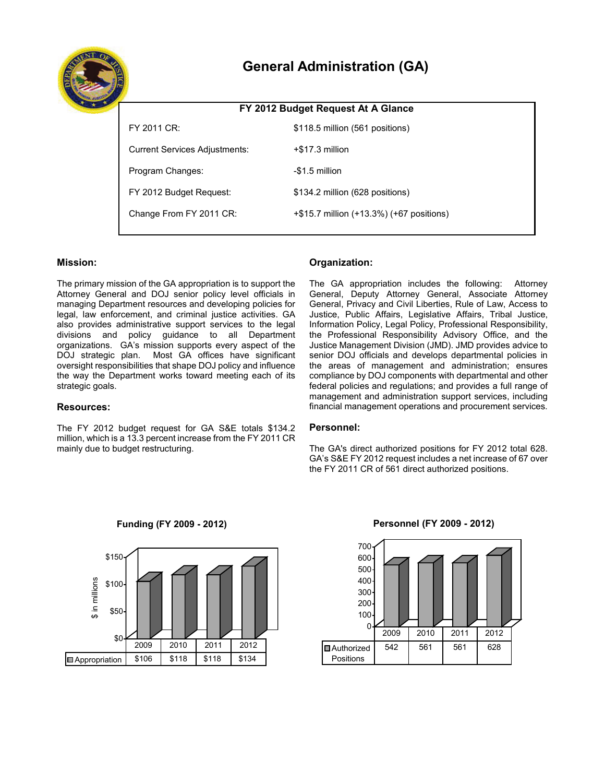

# **General Administration (GA)**

| FY 2012 Budget Request At A Glance   |                                          |  |  |  |
|--------------------------------------|------------------------------------------|--|--|--|
| FY 2011 CR:                          | \$118.5 million (561 positions)          |  |  |  |
| <b>Current Services Adjustments:</b> | $+$ \$17.3 million                       |  |  |  |
| Program Changes:                     | -\$1.5 million                           |  |  |  |
| FY 2012 Budget Request:              | \$134.2 million (628 positions)          |  |  |  |
| Change From FY 2011 CR:              | +\$15.7 million (+13.3%) (+67 positions) |  |  |  |
|                                      |                                          |  |  |  |

# **Mission:**

 The primary mission of the GA appropriation is to support the managing Department resources and developing policies for organizations. GA's mission supports every aspect of the Attorney General and DOJ senior policy level officials in legal, law enforcement, and criminal justice activities. GA also provides administrative support services to the legal divisions and policy guidance to all Department DOJ strategic plan. Most GA offices have significant oversight responsibilities that shape DOJ policy and influence the way the Department works toward meeting each of its strategic goals.

# **Resources:**

 The FY 2012 budget request for GA S&E totals \$134.2 million, which is a 13.3 percent increase from the FY 2011 CR mainly due to budget restructuring.

# **Organization:**

 The GA appropriation includes the following: Attorney General, Privacy and Civil Liberties, Rule of Law, Access to Justice Management Division (JMD). JMD provides advice to senior DOJ officials and develops departmental policies in management and administration support services, including General, Deputy Attorney General, Associate Attorney Justice, Public Affairs, Legislative Affairs, Tribal Justice, Information Policy, Legal Policy, Professional Responsibility, the Professional Responsibility Advisory Office, and the the areas of management and administration; ensures compliance by DOJ components with departmental and other federal policies and regulations; and provides a full range of financial management operations and procurement services.

# **Personnel:**

 The GA's direct authorized positions for FY 2012 total 628. GA's S&E FY 2012 request includes a net increase of 67 over the FY 2011 CR of 561 direct authorized positions.



 **Funding (FY 2009 - 2012)** 

# $\Omega$ 100 200 300 400 500 600 700 **D**Authorized Positions 542 561 561 628 2009 2010 2011 2012

# **Personnel (FY 2009 - 2012)**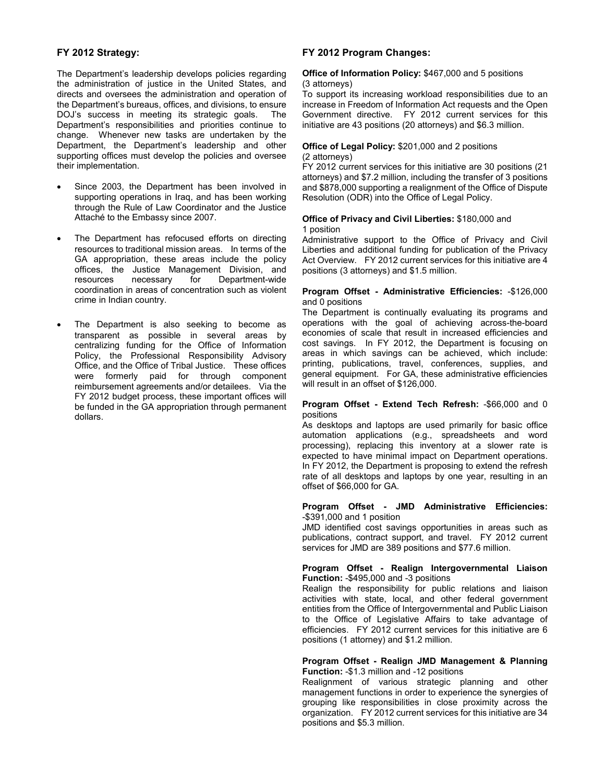# **FY 2012 Strategy:**

 directs and oversees the administration and operation of the Department's bureaus, offices, and divisions, to ensure Department's responsibilities and priorities continue to change. Whenever new tasks are undertaken by the supporting offices must develop the policies and oversee The Department's leadership develops policies regarding the administration of justice in the United States, and DOJ's success in meeting its strategic goals. The Department, the Department's leadership and other their implementation.

- Attaché to the Embassy since 2007. Since 2003, the Department has been involved in supporting operations in Iraq, and has been working through the Rule of Law Coordinator and the Justice
- resources to traditional mission areas. In terms of the offices, the Justice Management Division, and The Department has refocused efforts on directing GA appropriation, these areas include the policy resources necessary for Department-wide coordination in areas of concentration such as violent crime in Indian country.
- centralizing funding for the Office of Information Office, and the Office of Tribal Justice. These offices were formerly paid for through component reimbursement agreements and/or detailees. Via the FY 2012 budget process, these important offices will be funded in the GA appropriation through permanent The Department is also seeking to become as transparent as possible in several areas by Policy, the Professional Responsibility Advisory dollars.

# **FY 2012 Program Changes:**

#### **Office of Information Policy:** \$467,000 and 5 positions (3 attorneys)

 To support its increasing workload responsibilities due to an Government directive. FY 2012 current services for this increase in Freedom of Information Act requests and the Open initiative are 43 positions (20 attorneys) and \$6.3 million.

#### **Office of Legal Policy:** \$201,000 and 2 positions (2 attorneys)

 and \$878,000 supporting a realignment of the Office of Dispute FY 2012 current services for this initiative are 30 positions (21 attorneys) and \$7.2 million, including the transfer of 3 positions Resolution (ODR) into the Office of Legal Policy.

#### **Office of Privacy and Civil Liberties:** \$180,000 and 1 position

 Administrative support to the Office of Privacy and Civil Act Overview. FY 2012 current services for this initiative are 4 Liberties and additional funding for publication of the Privacy positions (3 attorneys) and \$1.5 million.

#### **Program Offset - Administrative Efficiencies:** -\$126,000 and 0 positions

 general equipment. For GA, these administrative efficiencies will result in an offset of \$126,000. The Department is continually evaluating its programs and operations with the goal of achieving across-the-board economies of scale that result in increased efficiencies and cost savings. In FY 2012, the Department is focusing on areas in which savings can be achieved, which include: printing, publications, travel, conferences, supplies, and

#### **Program Offset - Extend Tech Refresh:** -\$66,000 and 0 positions

 automation applications (e.g., spreadsheets and word processing), replacing this inventory at a slower rate is expected to have minimal impact on Department operations. In FY 2012, the Department is proposing to extend the refresh rate of all desktops and laptops by one year, resulting in an As desktops and laptops are used primarily for basic office offset of \$66,000 for GA.

### **Program Offset - JMD Administrative Efficiencies:**  -\$391,000 and 1 position

 JMD identified cost savings opportunities in areas such as publications, contract support, and travel. FY 2012 current services for JMD are 389 positions and \$77.6 million.

#### **Program Offset - Realign Intergovernmental Liaison Function:** -\$495,000 and -3 positions

 activities with state, local, and other federal government entities from the Office of Intergovernmental and Public Liaison Realign the responsibility for public relations and liaison to the Office of Legislative Affairs to take advantage of efficiencies. FY 2012 current services for this initiative are 6 positions (1 attorney) and \$1.2 million.

#### **Program Offset - Realign JMD Management & Planning Function:** -\$1.3 million and -12 positions

 management functions in order to experience the synergies of organization. FY 2012 current services for this initiative are 34 Realignment of various strategic planning and other grouping like responsibilities in close proximity across the positions and \$5.3 million.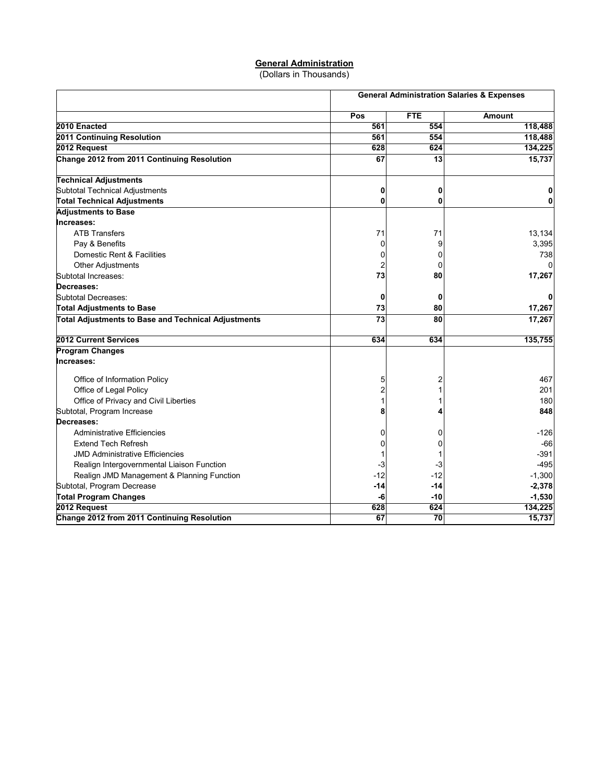# **General Administration**

(Dollars in Thousands)

|                                                            | <b>General Administration Salaries &amp; Expenses</b> |                 |               |  |
|------------------------------------------------------------|-------------------------------------------------------|-----------------|---------------|--|
|                                                            | Pos                                                   | <b>FTE</b>      | <b>Amount</b> |  |
| 2010 Enacted                                               | 561                                                   | 554             | 118,488       |  |
| 2011 Continuing Resolution                                 | 561                                                   | 554             | 118,488       |  |
| 2012 Request                                               | 628                                                   | 624             | 134,225       |  |
| Change 2012 from 2011 Continuing Resolution                | 67                                                    | 13              | 15,737        |  |
| <b>Technical Adjustments</b>                               |                                                       |                 |               |  |
| Subtotal Technical Adjustments                             | 0                                                     | 0               |               |  |
| <b>Total Technical Adjustments</b>                         | 0                                                     | 0               |               |  |
| <b>Adjustments to Base</b>                                 |                                                       |                 |               |  |
| Increases:                                                 |                                                       |                 |               |  |
| <b>ATB Transfers</b>                                       | 71                                                    | 71              | 13,134        |  |
| Pay & Benefits                                             | 0                                                     | 9               | 3,395         |  |
| Domestic Rent & Facilities                                 | 0                                                     | 0               | 738           |  |
| <b>Other Adjustments</b>                                   | 2                                                     | 0               | O             |  |
| Subtotal Increases:                                        | 73                                                    | 80              | 17,267        |  |
| Decreases:                                                 |                                                       |                 |               |  |
| Subtotal Decreases:                                        | 0                                                     | 0               |               |  |
| <b>Total Adjustments to Base</b>                           | 73                                                    | 80              | 17,267        |  |
| <b>Total Adjustments to Base and Technical Adjustments</b> | 73                                                    | 80              | 17,267        |  |
| 2012 Current Services                                      | 634                                                   | 634             | 135,755       |  |
| <b>Program Changes</b>                                     |                                                       |                 |               |  |
| Increases:                                                 |                                                       |                 |               |  |
| Office of Information Policy                               | 5                                                     | 2               | 467           |  |
| Office of Legal Policy                                     | 2                                                     |                 | 201           |  |
| Office of Privacy and Civil Liberties                      |                                                       |                 | 180           |  |
| Subtotal, Program Increase                                 | 8                                                     | 4               | 848           |  |
| Decreases:                                                 |                                                       |                 |               |  |
| Administrative Efficiencies                                | 0                                                     | 0               | $-126$        |  |
| <b>Extend Tech Refresh</b>                                 | 0                                                     | 0               | $-66$         |  |
| <b>JMD Administrative Efficiencies</b>                     |                                                       |                 | $-391$        |  |
| Realign Intergovernmental Liaison Function                 | -3                                                    | -3              | $-495$        |  |
| Realign JMD Management & Planning Function                 | $-12$                                                 | $-12$           | $-1,300$      |  |
| Subtotal, Program Decrease                                 | -14                                                   | -14             | $-2,378$      |  |
| <b>Total Program Changes</b>                               | -6                                                    | $-10$           | $-1,530$      |  |
| 2012 Request                                               | 628                                                   | 624             | 134,225       |  |
| Change 2012 from 2011 Continuing Resolution                | 67                                                    | $\overline{70}$ | 15,737        |  |